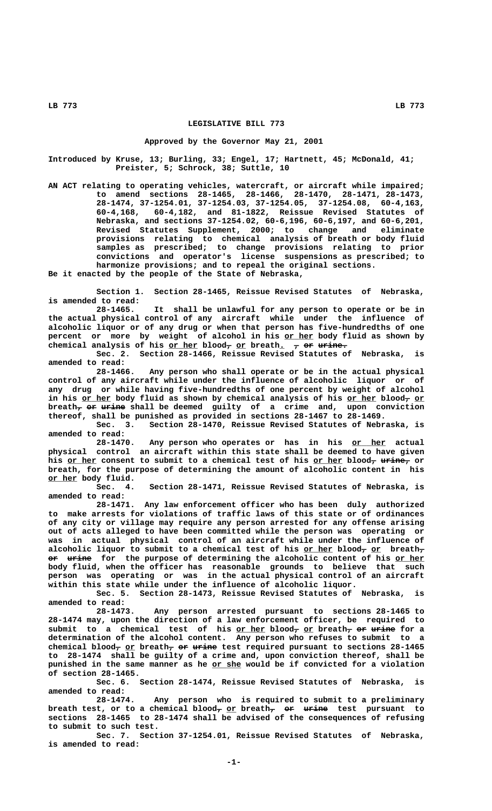## **LEGISLATIVE BILL 773**

## **Approved by the Governor May 21, 2001**

**Introduced by Kruse, 13; Burling, 33; Engel, 17; Hartnett, 45; McDonald, 41; Preister, 5; Schrock, 38; Suttle, 10**

**AN ACT relating to operating vehicles, watercraft, or aircraft while impaired; to amend sections 28-1465, 28-1466, 28-1470, 28-1471, 28-1473, 28-1474, 37-1254.01, 37-1254.03, 37-1254.05, 37-1254.08, 60-4,163, 60-4,168, 60-4,182, and 81-1822, Reissue Revised Statutes of Nebraska, and sections 37-1254.02, 60-6,196, 60-6,197, and 60-6,201, Revised Statutes Supplement, 2000; to change and eliminate provisions relating to chemical analysis of breath or body fluid samples as prescribed; to change provisions relating to prior convictions and operator's license suspensions as prescribed; to harmonize provisions; and to repeal the original sections.**

**Be it enacted by the people of the State of Nebraska,**

**Section 1. Section 28-1465, Reissue Revised Statutes of Nebraska, is amended to read:**

**28-1465. It shall be unlawful for any person to operate or be in the actual physical control of any aircraft while under the influence of alcoholic liquor or of any drug or when that person has five-hundredths of one** percent or more by weight of alcohol in his or her body fluid as shown by chemical analysis of his or her blood<sub>7</sub> or breath. 7 or urine.

**Sec. 2. Section 28-1466, Reissue Revised Statutes of Nebraska, is amended to read:**

**28-1466. Any person who shall operate or be in the actual physical control of any aircraft while under the influence of alcoholic liquor or of any drug or while having five-hundredths of one percent by weight of alcohol** in his or her body fluid as shown by chemical analysis of his or her blood<sub>7</sub> or breath<sub>7</sub> or urine shall be deemed guilty of a crime and, upon conviction **thereof, shall be punished as provided in sections 28-1467 to 28-1469.**

**Sec. 3. Section 28-1470, Reissue Revised Statutes of Nebraska, is amended to read:**

28-1470. Any person who operates or has in his or her actual **physical control an aircraft within this state shall be deemed to have given** his or her consent to submit to a chemical test of his or her blood<sub>7</sub> urine, or **breath, for the purpose of determining the amount of alcoholic content in his or her body fluid.**<br>Sec. 4.

Section 28-1471, Reissue Revised Statutes of Nebraska, is **amended to read:**

**28-1471. Any law enforcement officer who has been duly authorized to make arrests for violations of traffic laws of this state or of ordinances of any city or village may require any person arrested for any offense arising out of acts alleged to have been committed while the person was operating or was in actual physical control of an aircraft while under the influence of**  $a$ lcoholic liquor to submit to a chemical test of his <u>or her</u> blood<del>,</del> <u>or</u> breath<del>,</del>  $\overrightarrow{p}$   $\overrightarrow{u}$  and  $\overrightarrow{p}$  for the purpose of determining the alcoholic content of his or her **body fluid, when the officer has reasonable grounds to believe that such person was operating or was in the actual physical control of an aircraft within this state while under the influence of alcoholic liquor.**

**Sec. 5. Section 28-1473, Reissue Revised Statutes of Nebraska, is amended to read:**

**28-1473. Any person arrested pursuant to sections 28-1465 to 28-1474 may, upon the direction of a law enforcement officer, be required to** submit to a chemical test of his or her blood<sub>7</sub> or breath<sub>7</sub> or urine for a **determination of the alcohol content. Any person who refuses to submit to a** chemical blood<sub>7</sub> or breath<sub>7</sub> or urine test required pursuant to sections 28-1465 **to 28-1474 shall be guilty of a crime and, upon conviction thereof, shall be \_\_\_\_\_\_ punished in the same manner as he or she would be if convicted for a violation of section 28-1465.**

**Sec. 6. Section 28-1474, Reissue Revised Statutes of Nebraska, is amended to read:**

**28-1474. Any person who is required to submit to a preliminary** breath test, or to a chemical blood<sub>7</sub> or breath<sub>7</sub> or urine test pursuant to **sections 28-1465 to 28-1474 shall be advised of the consequences of refusing to submit to such test.**

**Sec. 7. Section 37-1254.01, Reissue Revised Statutes of Nebraska, is amended to read:**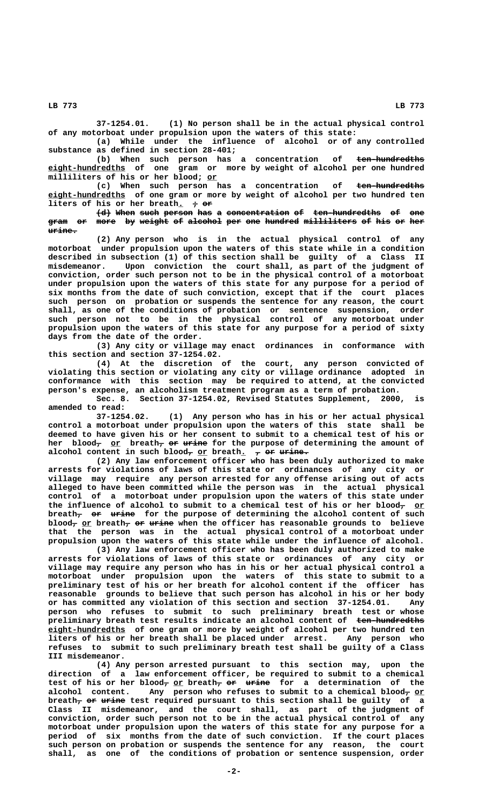**37-1254.01. (1) No person shall be in the actual physical control of any motorboat under propulsion upon the waters of this state:**

**(a) While under the influence of alcohol or of any controlled substance as defined in section 28-401;**

(b) When such person has a concentration of <del>ten-hundredths</del>  **\_\_\_\_\_\_\_\_\_\_\_\_\_\_\_\_ eight-hundredths of one gram or more by weight of alcohol per one hundred \_\_ milliliters of his or her blood; or**

(c) When such person has a concentration of <del>ten-hundredths</del>  **\_\_\_\_\_\_\_\_\_\_\_\_\_\_\_\_ eight-hundredths of one gram or more by weight of alcohol per two hundred ten liters of his or her breath.**  $\rightarrow$  or

 $\left\{ d \right\}$  When such person has a concentration of ten-hundredths of one gram or more by weight of alcohol per one hundred milliliters of his or her  **urine. ——————**

**(2) Any person who is in the actual physical control of any motorboat under propulsion upon the waters of this state while in a condition described in subsection (1) of this section shall be guilty of a Class II misdemeanor. Upon conviction the court shall, as part of the judgment of conviction, order such person not to be in the physical control of a motorboat under propulsion upon the waters of this state for any purpose for a period of six months from the date of such conviction, except that if the court places such person on probation or suspends the sentence for any reason, the court shall, as one of the conditions of probation or sentence suspension, order such person not to be in the physical control of any motorboat under propulsion upon the waters of this state for any purpose for a period of sixty days from the date of the order.**

**(3) Any city or village may enact ordinances in conformance with this section and section 37-1254.02.**

**(4) At the discretion of the court, any person convicted of violating this section or violating any city or village ordinance adopted in conformance with this section may be required to attend, at the convicted person's expense, an alcoholism treatment program as a term of probation.**

**Sec. 8. Section 37-1254.02, Revised Statutes Supplement, 2000, is amended to read:**

**37-1254.02. (1) Any person who has in his or her actual physical control a motorboat under propulsion upon the waters of this state shall be deemed to have given his or her consent to submit to a chemical test of his or** her blood<del>,</del> <u>or</u> breath<del>, or urine</del> for the purpose of determining the amount of alcohol content in such blood<sub>7</sub> or breath<u>.</u> 7 <del>or</del> urine.

**(2) Any law enforcement officer who has been duly authorized to make arrests for violations of laws of this state or ordinances of any city or village may require any person arrested for any offense arising out of acts alleged to have been committed while the person was in the actual physical control of a motorboat under propulsion upon the waters of this state under** the influence of alcohol to submit to a chemical test of his or her blood<sub>7</sub> or breath<sub>7</sub> or urine for the purpose of determining the alcohol content of such blood<sub> $\tau$ </sub> or breath $\tau$  or urine when the officer has reasonable grounds to believe **that the person was in the actual physical control of a motorboat under propulsion upon the waters of this state while under the influence of alcohol.**

**(3) Any law enforcement officer who has been duly authorized to make arrests for violations of laws of this state or ordinances of any city or village may require any person who has in his or her actual physical control a motorboat under propulsion upon the waters of this state to submit to a preliminary test of his or her breath for alcohol content if the officer has reasonable grounds to believe that such person has alcohol in his or her body or has committed any violation of this section and section 37-1254.01. Any person who refuses to submit to such preliminary breath test or whose preliminary breath test results indicate an alcohol content of ten-hundredths ————————————— eight-hundredths** of one gram or more by weight of alcohol per two hundred ten<br>liters of his or her breath shall be placed under arrest. Any person who liters of his or her breath shall be placed under arrest. **refuses to submit to such preliminary breath test shall be guilty of a Class III misdemeanor.**

**(4) Any person arrested pursuant to this section may, upon the direction of a law enforcement officer, be required to submit to a chemical** test of his or her blood<sub>7</sub> or breath<sub>7</sub> or urine for a determination of the alcohol content. Any person who refuses to submit to a chemical blood<sub>7</sub> or breath<sub>7</sub> or urine test required pursuant to this section shall be guilty of a **Class II misdemeanor, and the court shall, as part of the judgment of conviction, order such person not to be in the actual physical control of any motorboat under propulsion upon the waters of this state for any purpose for a period of six months from the date of such conviction. If the court places such person on probation or suspends the sentence for any reason, the court shall, as one of the conditions of probation or sentence suspension, order**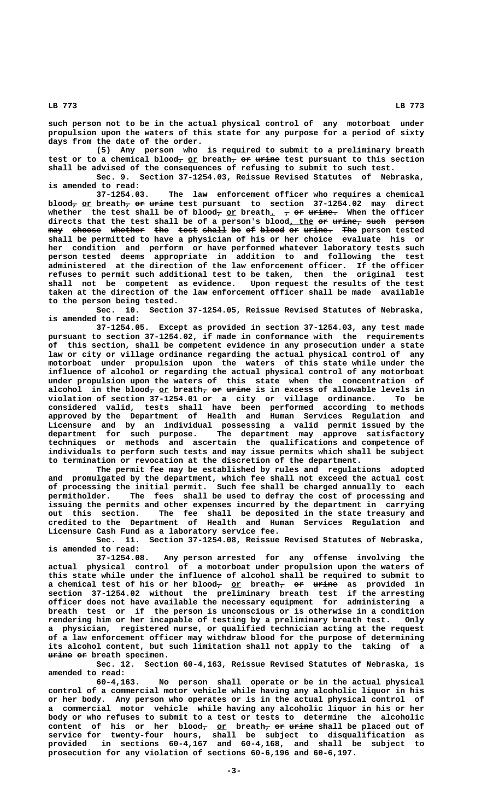**such person not to be in the actual physical control of any motorboat under propulsion upon the waters of this state for any purpose for a period of sixty days from the date of the order.**

**(5) Any person who is required to submit to a preliminary breath** test or to a chemical blood<sub>7</sub> or breath<sub>7</sub> or urine test pursuant to this section **shall be advised of the consequences of refusing to submit to such test.**

**Sec. 9. Section 37-1254.03, Reissue Revised Statutes of Nebraska,**

**is amended to read:** The law enforcement officer who requires a chemical blood<sub>7</sub> or breath<sub>7</sub> or urine test pursuant to section 37-1254.02 may direct whether the test shall be of blood<sub>7</sub> or breath. 7 or urine. When the officer directs that the test shall be of a person's blood, the or urine, such person  $\frac{1}{2}$  shoose whether the test shall be of blood or urine. The person tested **shall be permitted to have a physician of his or her choice evaluate his or her condition and perform or have performed whatever laboratory tests such person tested deems appropriate in addition to and following the test administered at the direction of the law enforcement officer. If the officer refuses to permit such additional test to be taken, then the original test shall not be competent as evidence. Upon request the results of the test taken at the direction of the law enforcement officer shall be made available to the person being tested.**

**Sec. 10. Section 37-1254.05, Reissue Revised Statutes of Nebraska, is amended to read:**

**37-1254.05. Except as provided in section 37-1254.03, any test made pursuant to section 37-1254.02, if made in conformance with the requirements of this section, shall be competent evidence in any prosecution under a state law or city or village ordinance regarding the actual physical control of any motorboat under propulsion upon the waters of this state while under the influence of alcohol or regarding the actual physical control of any motorboat under propulsion upon the waters of this state when the concentration of** alcohol in the blood<sub>7</sub> or breath<sub>7</sub> or urine is in excess of allowable levels in **violation of section 37-1254.01 or a city or village ordinance. To be considered valid, tests shall have been performed according to methods approved by the Department of Health and Human Services Regulation and Licensure and by an individual possessing a valid permit issued by the department for such purpose. The department may approve satisfactory techniques or methods and ascertain the qualifications and competence of individuals to perform such tests and may issue permits which shall be subject to termination or revocation at the discretion of the department.**

**The permit fee may be established by rules and regulations adopted and promulgated by the department, which fee shall not exceed the actual cost of processing the initial permit. Such fee shall be charged annually to each permitholder. The fees shall be used to defray the cost of processing and issuing the permits and other expenses incurred by the department in carrying out this section. The fee shall be deposited in the state treasury and credited to the Department of Health and Human Services Regulation and Licensure Cash Fund as a laboratory service fee.**

**Sec. 11. Section 37-1254.08, Reissue Revised Statutes of Nebraska, is amended to read:**

**37-1254.08. Any person arrested for any offense involving the actual physical control of a motorboat under propulsion upon the waters of this state while under the influence of alcohol shall be required to submit to** a chemical test of his or her blood<del>,</del> <u>or</u> breath<del>, or urine</del> as provided in **section 37-1254.02 without the preliminary breath test if the arresting officer does not have available the necessary equipment for administering a breath test or if the person is unconscious or is otherwise in a condition rendering him or her incapable of testing by a preliminary breath test. Only a physician, registered nurse, or qualified technician acting at the request of a law enforcement officer may withdraw blood for the purpose of determining its alcohol content, but such limitation shall not apply to the taking of a**  $\frac{m+n}{n}$  or breath specimen.

**Sec. 12. Section 60-4,163, Reissue Revised Statutes of Nebraska, is amended to read:**

**60-4,163. No person shall operate or be in the actual physical control of a commercial motor vehicle while having any alcoholic liquor in his or her body. Any person who operates or is in the actual physical control of a commercial motor vehicle while having any alcoholic liquor in his or her body or who refuses to submit to a test or tests to determine the alcoholic** content of his or her blood<del>,</del> <u>or</u> breath<del>, or urine</del> shall be placed out of **service for twenty-four hours, shall be subject to disqualification as provided in sections 60-4,167 and 60-4,168, and shall be subject to prosecution for any violation of sections 60-6,196 and 60-6,197.**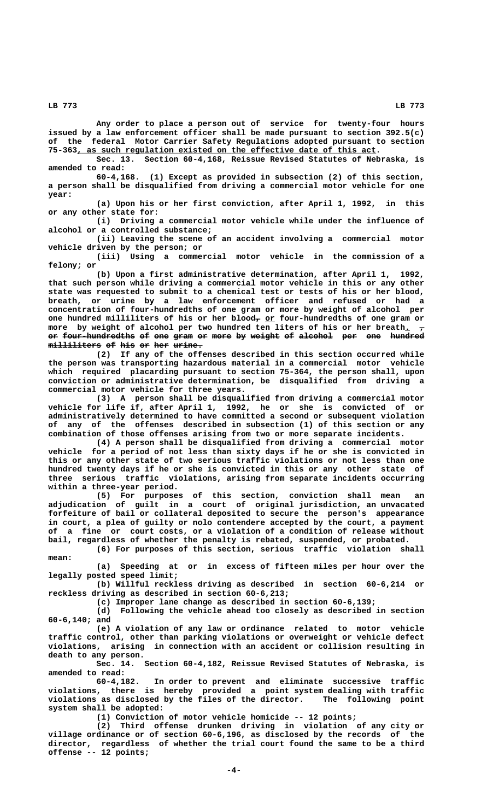**Any order to place a person out of service for twenty-four hours issued by a law enforcement officer shall be made pursuant to section 392.5(c) of the federal Motor Carrier Safety Regulations adopted pursuant to section \_\_\_\_\_\_\_\_\_\_\_\_\_\_\_\_\_\_\_\_\_\_\_\_\_\_\_\_\_\_\_\_\_\_\_\_\_\_\_\_\_\_\_\_\_\_\_\_\_\_\_\_\_\_\_\_\_\_\_\_\_\_ 75-363, as such regulation existed on the effective date of this act.**

**Sec. 13. Section 60-4,168, Reissue Revised Statutes of Nebraska, is amended to read:**

**60-4,168. (1) Except as provided in subsection (2) of this section, a person shall be disqualified from driving a commercial motor vehicle for one year:**

**(a) Upon his or her first conviction, after April 1, 1992, in this or any other state for:**

**(i) Driving a commercial motor vehicle while under the influence of alcohol or a controlled substance;**

**(ii) Leaving the scene of an accident involving a commercial motor vehicle driven by the person; or**

**(iii) Using a commercial motor vehicle in the commission of a felony; or**

**(b) Upon a first administrative determination, after April 1, 1992, that such person while driving a commercial motor vehicle in this or any other state was requested to submit to a chemical test or tests of his or her blood, breath, or urine by a law enforcement officer and refused or had a concentration of four-hundredths of one gram or more by weight of alcohol per** one hundred milliliters of his or her blood<sub> $\tau$ </sub> or four-hundredths of one gram or more by weight of alcohol per two hundred ten liters of his or her breath.  $\tau$ **or four-hundredths of one gram or more by weight of alcohol per one hundred —— ——————————————— —— ——— ———— —— ———— —— —————— —— ——————— ——— ——— ——————**  $m$ illiliters of his or her urine.

**(2) If any of the offenses described in this section occurred while the person was transporting hazardous material in a commercial motor vehicle which required placarding pursuant to section 75-364, the person shall, upon conviction or administrative determination, be disqualified from driving a commercial motor vehicle for three years.**

**(3) A person shall be disqualified from driving a commercial motor vehicle for life if, after April 1, 1992, he or she is convicted of or administratively determined to have committed a second or subsequent violation of any of the offenses described in subsection (1) of this section or any combination of those offenses arising from two or more separate incidents.**

**(4) A person shall be disqualified from driving a commercial motor vehicle for a period of not less than sixty days if he or she is convicted in this or any other state of two serious traffic violations or not less than one hundred twenty days if he or she is convicted in this or any other state of three serious traffic violations, arising from separate incidents occurring within a three-year period.**

**(5) For purposes of this section, conviction shall mean an adjudication of guilt in a court of original jurisdiction, an unvacated forfeiture of bail or collateral deposited to secure the person's appearance in court, a plea of guilty or nolo contendere accepted by the court, a payment of a fine or court costs, or a violation of a condition of release without bail, regardless of whether the penalty is rebated, suspended, or probated.**

**(6) For purposes of this section, serious traffic violation shall mean:**

**(a) Speeding at or in excess of fifteen miles per hour over the legally posted speed limit;**

**(b) Willful reckless driving as described in section 60-6,214 or reckless driving as described in section 60-6,213;**

**(c) Improper lane change as described in section 60-6,139;**

**(d) Following the vehicle ahead too closely as described in section 60-6,140; and**

**(e) A violation of any law or ordinance related to motor vehicle traffic control, other than parking violations or overweight or vehicle defect violations, arising in connection with an accident or collision resulting in death to any person.**

**Sec. 14. Section 60-4,182, Reissue Revised Statutes of Nebraska, is amended to read:**

**60-4,182. In order to prevent and eliminate successive traffic violations, there is hereby provided a point system dealing with traffic violations as disclosed by the files of the director. The following point system shall be adopted:**

**(1) Conviction of motor vehicle homicide -- 12 points;**

**(2) Third offense drunken driving in violation of any city or village ordinance or of section 60-6,196, as disclosed by the records of the director, regardless of whether the trial court found the same to be a third offense -- 12 points;**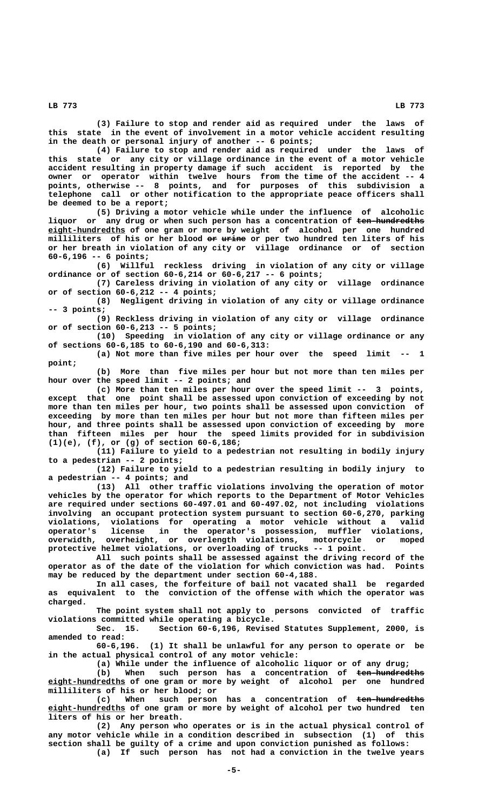**(3) Failure to stop and render aid as required under the laws of this state in the event of involvement in a motor vehicle accident resulting in the death or personal injury of another -- 6 points;**

**(4) Failure to stop and render aid as required under the laws of this state or any city or village ordinance in the event of a motor vehicle accident resulting in property damage if such accident is reported by the owner or operator within twelve hours from the time of the accident -- 4 points, otherwise -- 8 points, and for purposes of this subdivision a telephone call or other notification to the appropriate peace officers shall be deemed to be a report;**

**(5) Driving a motor vehicle while under the influence of alcoholic** liquor or any drug or when such person has a concentration of ten-hundredths  **\_\_\_\_\_\_\_\_\_\_\_\_\_\_\_\_ eight-hundredths of one gram or more by weight of alcohol per one hundred —— ————— milliliters of his or her blood or urine or per two hundred ten liters of his or her breath in violation of any city or village ordinance or of section 60-6,196 -- 6 points;**

**(6) Willful reckless driving in violation of any city or village ordinance or of section 60-6,214 or 60-6,217 -- 6 points;**

**(7) Careless driving in violation of any city or village ordinance or of section 60-6,212 -- 4 points;**

**(8) Negligent driving in violation of any city or village ordinance -- 3 points;**

**(9) Reckless driving in violation of any city or village ordinance or of section 60-6,213 -- 5 points;**

**(10) Speeding in violation of any city or village ordinance or any of sections 60-6,185 to 60-6,190 and 60-6,313:**

**(a) Not more than five miles per hour over the speed limit -- 1 point;**

**(b) More than five miles per hour but not more than ten miles per hour over the speed limit -- 2 points; and**

**(c) More than ten miles per hour over the speed limit -- 3 points, except that one point shall be assessed upon conviction of exceeding by not more than ten miles per hour, two points shall be assessed upon conviction of exceeding by more than ten miles per hour but not more than fifteen miles per hour, and three points shall be assessed upon conviction of exceeding by more than fifteen miles per hour the speed limits provided for in subdivision (1)(e), (f), or (g) of section 60-6,186;**

**(11) Failure to yield to a pedestrian not resulting in bodily injury to a pedestrian -- 2 points;**

**(12) Failure to yield to a pedestrian resulting in bodily injury to a pedestrian -- 4 points; and**

**(13) All other traffic violations involving the operation of motor vehicles by the operator for which reports to the Department of Motor Vehicles are required under sections 60-497.01 and 60-497.02, not including violations involving an occupant protection system pursuant to section 60-6,270, parking violations, violations for operating a motor vehicle without a valid operator's license in the operator's possession, muffler violations, overwidth, overheight, or overlength violations, motorcycle or moped protective helmet violations, or overloading of trucks -- 1 point.**

**All such points shall be assessed against the driving record of the operator as of the date of the violation for which conviction was had. Points may be reduced by the department under section 60-4,188.**

**In all cases, the forfeiture of bail not vacated shall be regarded as equivalent to the conviction of the offense with which the operator was charged.**

**The point system shall not apply to persons convicted of traffic violations committed while operating a bicycle.**

**Sec. 15. Section 60-6,196, Revised Statutes Supplement, 2000, is amended to read:**

**60-6,196. (1) It shall be unlawful for any person to operate or be in the actual physical control of any motor vehicle:**

**(a) While under the influence of alcoholic liquor or of any drug;**

(b) When such person has a concentration of <del>ten-hundredths</del>  **\_\_\_\_\_\_\_\_\_\_\_\_\_\_\_\_ eight-hundredths of one gram or more by weight of alcohol per one hundred milliliters of his or her blood; or**

(c) When such person has a concentration of <del>ten-hundredths</del>  **\_\_\_\_\_\_\_\_\_\_\_\_\_\_\_\_ eight-hundredths of one gram or more by weight of alcohol per two hundred ten liters of his or her breath.**

**(2) Any person who operates or is in the actual physical control of any motor vehicle while in a condition described in subsection (1) of this section shall be guilty of a crime and upon conviction punished as follows: (a) If such person has not had a conviction in the twelve years**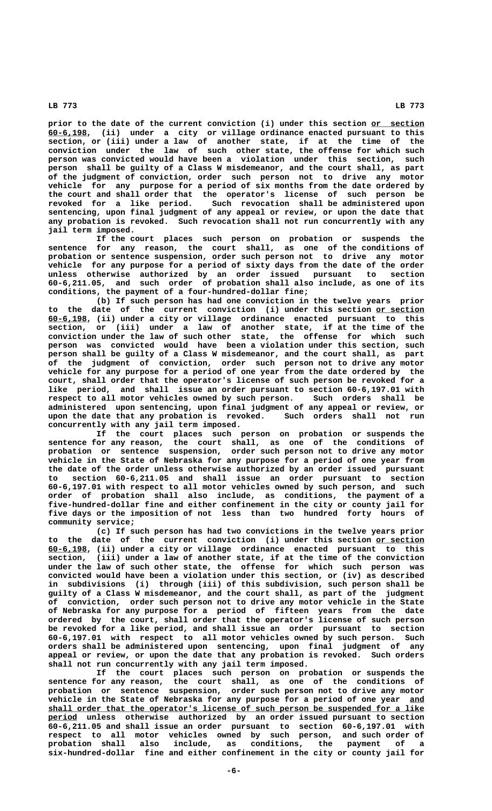prior to the date of the current conviction (i) under this section or section  **\_\_\_\_\_\_\_\_ 60-6,198, (ii) under a city or village ordinance enacted pursuant to this section, or (iii) under a law of another state, if at the time of the conviction under the law of such other state, the offense for which such person was convicted would have been a violation under this section, such person shall be guilty of a Class W misdemeanor, and the court shall, as part of the judgment of conviction, order such person not to drive any motor vehicle for any purpose for a period of six months from the date ordered by the court and shall order that the operator's license of such person be revoked for a like period. Such revocation shall be administered upon sentencing, upon final judgment of any appeal or review, or upon the date that any probation is revoked. Such revocation shall not run concurrently with any jail term imposed.**

**If the court places such person on probation or suspends the sentence for any reason, the court shall, as one of the conditions of probation or sentence suspension, order such person not to drive any motor vehicle for any purpose for a period of sixty days from the date of the order unless otherwise authorized by an order issued pursuant to section 60-6,211.05, and such order of probation shall also include, as one of its conditions, the payment of a four-hundred-dollar fine;**

**(b) If such person has had one conviction in the twelve years prior** to the date of the current conviction (i) under this section or section  **\_\_\_\_\_\_\_\_ 60-6,198, (ii) under a city or village ordinance enacted pursuant to this section, or (iii) under a law of another state, if at the time of the conviction under the law of such other state, the offense for which such person was convicted would have been a violation under this section, such person shall be guilty of a Class W misdemeanor, and the court shall, as part of the judgment of conviction, order such person not to drive any motor vehicle for any purpose for a period of one year from the date ordered by the court, shall order that the operator's license of such person be revoked for a like period, and shall issue an order pursuant to section 60-6,197.01 with respect to all motor vehicles owned by such person. Such orders shall be administered upon sentencing, upon final judgment of any appeal or review, or upon the date that any probation is revoked. Such orders shall not run concurrently with any jail term imposed.**

**If the court places such person on probation or suspends the sentence for any reason, the court shall, as one of the conditions of probation or sentence suspension, order such person not to drive any motor vehicle in the State of Nebraska for any purpose for a period of one year from the date of the order unless otherwise authorized by an order issued pursuant to section 60-6,211.05 and shall issue an order pursuant to section 60-6,197.01 with respect to all motor vehicles owned by such person, and such order of probation shall also include, as conditions, the payment of a five-hundred-dollar fine and either confinement in the city or county jail for five days or the imposition of not less than two hundred forty hours of community service;**

**(c) If such person has had two convictions in the twelve years prior** to the date of the current conviction (i) under this section or section  **\_\_\_\_\_\_\_\_ 60-6,198, (ii) under a city or village ordinance enacted pursuant to this section, (iii) under a law of another state, if at the time of the conviction under the law of such other state, the offense for which such person was convicted would have been a violation under this section, or (iv) as described in subdivisions (i) through (iii) of this subdivision, such person shall be guilty of a Class W misdemeanor, and the court shall, as part of the judgment of conviction, order such person not to drive any motor vehicle in the State of Nebraska for any purpose for a period of fifteen years from the date ordered by the court, shall order that the operator's license of such person be revoked for a like period, and shall issue an order pursuant to section 60-6,197.01 with respect to all motor vehicles owned by such person. Such orders shall be administered upon sentencing, upon final judgment of any appeal or review, or upon the date that any probation is revoked. Such orders shall not run concurrently with any jail term imposed.**

**If the court places such person on probation or suspends the sentence for any reason, the court shall, as one of the conditions of probation or sentence suspension, order such person not to drive any motor vehicle in the State of Nebraska for any purpose for a period of one year and \_\_\_ \_\_\_\_\_\_\_\_\_\_\_\_\_\_\_\_\_\_\_\_\_\_\_\_\_\_\_\_\_\_\_\_\_\_\_\_\_\_\_\_\_\_\_\_\_\_\_\_\_\_\_\_\_\_\_\_\_\_\_\_\_\_\_\_\_\_\_\_\_\_\_\_\_\_\_\_\_\_ shall order that the operator's license of such person be suspended for a like period** unless otherwise authorized by an order issued pursuant to section **60-6,211.05 and shall issue an order pursuant to section 60-6,197.01 with respect to all motor vehicles owned by such person, and such order of probation shall also include, as conditions, the payment of a six-hundred-dollar fine and either confinement in the city or county jail for**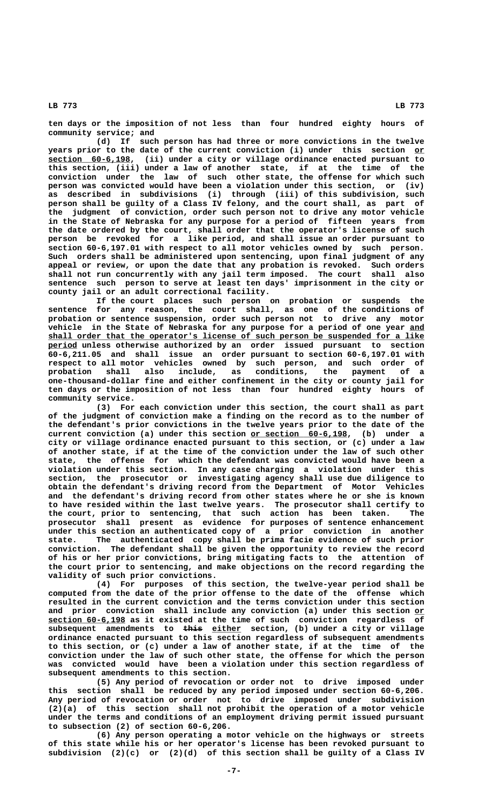**ten days or the imposition of not less than four hundred eighty hours of community service; and**

**(d) If such person has had three or more convictions in the twelve** years prior to the date of the current conviction (i) under this section or  **\_\_\_\_\_\_\_\_\_\_\_\_\_\_\_\_\_ section 60-6,198, (ii) under a city or village ordinance enacted pursuant to this section, (iii) under a law of another state, if at the time of the conviction under the law of such other state, the offense for which such person was convicted would have been a violation under this section, or (iv) as described in subdivisions (i) through (iii) of this subdivision, such person shall be guilty of a Class IV felony, and the court shall, as part of the judgment of conviction, order such person not to drive any motor vehicle in the State of Nebraska for any purpose for a period of fifteen years from the date ordered by the court, shall order that the operator's license of such person be revoked for a like period, and shall issue an order pursuant to section 60-6,197.01 with respect to all motor vehicles owned by such person. Such orders shall be administered upon sentencing, upon final judgment of any appeal or review, or upon the date that any probation is revoked. Such orders shall not run concurrently with any jail term imposed. The court shall also sentence such person to serve at least ten days' imprisonment in the city or county jail or an adult correctional facility.**

**If the court places such person on probation or suspends the sentence for any reason, the court shall, as one of the conditions of probation or sentence suspension, order such person not to drive any motor vehicle in the State of Nebraska for any purpose for a period of one year and \_\_\_ \_\_\_\_\_\_\_\_\_\_\_\_\_\_\_\_\_\_\_\_\_\_\_\_\_\_\_\_\_\_\_\_\_\_\_\_\_\_\_\_\_\_\_\_\_\_\_\_\_\_\_\_\_\_\_\_\_\_\_\_\_\_\_\_\_\_\_\_\_\_\_\_\_\_\_\_\_\_ shall order that the operator's license of such person be suspended for a like \_\_\_\_\_\_ period unless otherwise authorized by an order issued pursuant to section 60-6,211.05 and shall issue an order pursuant to section 60-6,197.01 with respect to all motor vehicles owned by such person, and such order of probation shall also include, as conditions, the payment of a one-thousand-dollar fine and either confinement in the city or county jail for ten days or the imposition of not less than four hundred eighty hours of community service.**

**(3) For each conviction under this section, the court shall as part of the judgment of conviction make a finding on the record as to the number of the defendant's prior convictions in the twelve years prior to the date of the** current conviction (a) under this section <u>or section 60-6,198</u>, (b) under a **city or village ordinance enacted pursuant to this section, or (c) under a law of another state, if at the time of the conviction under the law of such other state, the offense for which the defendant was convicted would have been a violation under this section. In any case charging a violation under this section, the prosecutor or investigating agency shall use due diligence to obtain the defendant's driving record from the Department of Motor Vehicles and the defendant's driving record from other states where he or she is known to have resided within the last twelve years. The prosecutor shall certify to the court, prior to sentencing, that such action has been taken. The prosecutor shall present as evidence for purposes of sentence enhancement under this section an authenticated copy of a prior conviction in another state. The authenticated copy shall be prima facie evidence of such prior conviction. The defendant shall be given the opportunity to review the record of his or her prior convictions, bring mitigating facts to the attention of the court prior to sentencing, and make objections on the record regarding the validity of such prior convictions.**

**(4) For purposes of this section, the twelve-year period shall be computed from the date of the prior offense to the date of the offense which resulted in the current conviction and the terms conviction under this section** and prior conviction shall include any conviction (a) under this section or  **\_\_\_\_\_\_\_\_\_\_\_\_\_\_\_\_ section 60-6,198 as it existed at the time of such conviction regardless of** subsequent amendments to this either section, (b) under a city or village **ordinance enacted pursuant to this section regardless of subsequent amendments to this section, or (c) under a law of another state, if at the time of the conviction under the law of such other state, the offense for which the person was convicted would have been a violation under this section regardless of subsequent amendments to this section.**

**(5) Any period of revocation or order not to drive imposed under this section shall be reduced by any period imposed under section 60-6,206. Any period of revocation or order not to drive imposed under subdivision (2)(a) of this section shall not prohibit the operation of a motor vehicle under the terms and conditions of an employment driving permit issued pursuant to subsection (2) of section 60-6,206.**

**(6) Any person operating a motor vehicle on the highways or streets of this state while his or her operator's license has been revoked pursuant to subdivision (2)(c) or (2)(d) of this section shall be guilty of a Class IV**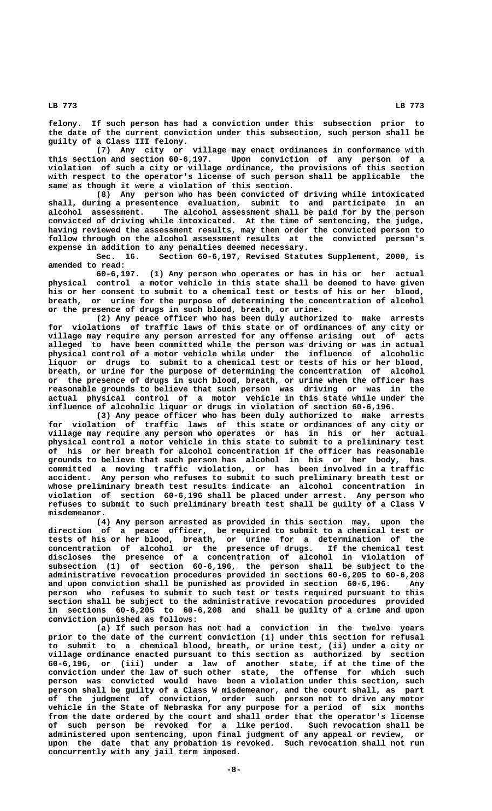**felony. If such person has had a conviction under this subsection prior to the date of the current conviction under this subsection, such person shall be guilty of a Class III felony.**

**(7) Any city or village may enact ordinances in conformance with this section and section 60-6,197. Upon conviction of any person of a violation of such a city or village ordinance, the provisions of this section with respect to the operator's license of such person shall be applicable the same as though it were a violation of this section.**

**(8) Any person who has been convicted of driving while intoxicated shall, during a presentence evaluation, submit to and participate in an alcohol assessment. The alcohol assessment shall be paid for by the person convicted of driving while intoxicated. At the time of sentencing, the judge, having reviewed the assessment results, may then order the convicted person to follow through on the alcohol assessment results at the convicted person's expense in addition to any penalties deemed necessary.**

**Sec. 16. Section 60-6,197, Revised Statutes Supplement, 2000, is amended to read:**

**60-6,197. (1) Any person who operates or has in his or her actual physical control a motor vehicle in this state shall be deemed to have given his or her consent to submit to a chemical test or tests of his or her blood, breath, or urine for the purpose of determining the concentration of alcohol or the presence of drugs in such blood, breath, or urine.**

**(2) Any peace officer who has been duly authorized to make arrests for violations of traffic laws of this state or of ordinances of any city or village may require any person arrested for any offense arising out of acts alleged to have been committed while the person was driving or was in actual physical control of a motor vehicle while under the influence of alcoholic liquor or drugs to submit to a chemical test or tests of his or her blood, breath, or urine for the purpose of determining the concentration of alcohol or the presence of drugs in such blood, breath, or urine when the officer has reasonable grounds to believe that such person was driving or was in the actual physical control of a motor vehicle in this state while under the influence of alcoholic liquor or drugs in violation of section 60-6,196.**

**(3) Any peace officer who has been duly authorized to make arrests for violation of traffic laws of this state or ordinances of any city or village may require any person who operates or has in his or her actual physical control a motor vehicle in this state to submit to a preliminary test of his or her breath for alcohol concentration if the officer has reasonable grounds to believe that such person has alcohol in his or her body, has committed a moving traffic violation, or has been involved in a traffic accident. Any person who refuses to submit to such preliminary breath test or whose preliminary breath test results indicate an alcohol concentration in violation of section 60-6,196 shall be placed under arrest. Any person who refuses to submit to such preliminary breath test shall be guilty of a Class V misdemeanor.**

**(4) Any person arrested as provided in this section may, upon the direction of a peace officer, be required to submit to a chemical test or tests of his or her blood, breath, or urine for a determination of the concentration of alcohol or the presence of drugs. If the chemical test discloses the presence of a concentration of alcohol in violation of subsection (1) of section 60-6,196, the person shall be subject to the administrative revocation procedures provided in sections 60-6,205 to 60-6,208 and upon conviction shall be punished as provided in section 60-6,196. Any person who refuses to submit to such test or tests required pursuant to this section shall be subject to the administrative revocation procedures provided in sections 60-6,205 to 60-6,208 and shall be guilty of a crime and upon conviction punished as follows:**

**(a) If such person has not had a conviction in the twelve years prior to the date of the current conviction (i) under this section for refusal to submit to a chemical blood, breath, or urine test, (ii) under a city or village ordinance enacted pursuant to this section as authorized by section 60-6,196, or (iii) under a law of another state, if at the time of the conviction under the law of such other state, the offense for which such person was convicted would have been a violation under this section, such person shall be guilty of a Class W misdemeanor, and the court shall, as part of the judgment of conviction, order such person not to drive any motor vehicle in the State of Nebraska for any purpose for a period of six months from the date ordered by the court and shall order that the operator's license of such person be revoked for a like period. Such revocation shall be administered upon sentencing, upon final judgment of any appeal or review, or upon the date that any probation is revoked. Such revocation shall not run concurrently with any jail term imposed.**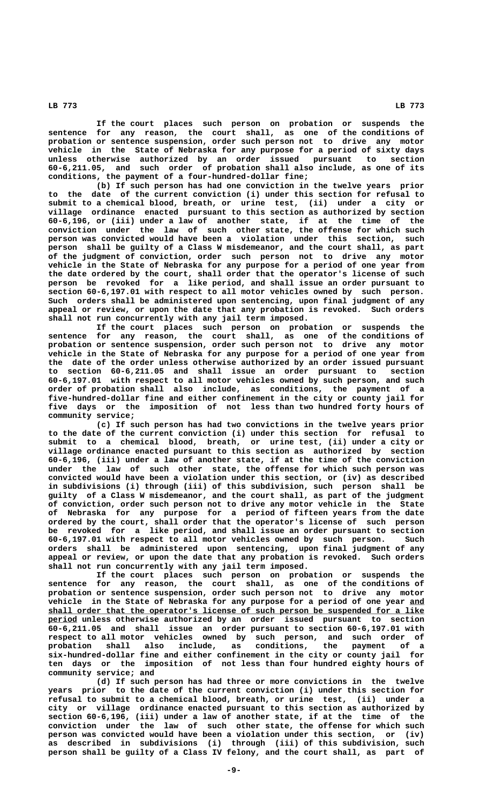**If the court places such person on probation or suspends the sentence for any reason, the court shall, as one of the conditions of probation or sentence suspension, order such person not to drive any motor vehicle in the State of Nebraska for any purpose for a period of sixty days unless otherwise authorized by an order issued pursuant to section 60-6,211.05, and such order of probation shall also include, as one of its conditions, the payment of a four-hundred-dollar fine;**

**(b) If such person has had one conviction in the twelve years prior to the date of the current conviction (i) under this section for refusal to submit to a chemical blood, breath, or urine test, (ii) under a city or village ordinance enacted pursuant to this section as authorized by section 60-6,196, or (iii) under a law of another state, if at the time of the conviction under the law of such other state, the offense for which such person was convicted would have been a violation under this section, such person shall be guilty of a Class W misdemeanor, and the court shall, as part of the judgment of conviction, order such person not to drive any motor vehicle in the State of Nebraska for any purpose for a period of one year from the date ordered by the court, shall order that the operator's license of such person be revoked for a like period, and shall issue an order pursuant to section 60-6,197.01 with respect to all motor vehicles owned by such person. Such orders shall be administered upon sentencing, upon final judgment of any appeal or review, or upon the date that any probation is revoked. Such orders shall not run concurrently with any jail term imposed.**

**If the court places such person on probation or suspends the sentence for any reason, the court shall, as one of the conditions of probation or sentence suspension, order such person not to drive any motor vehicle in the State of Nebraska for any purpose for a period of one year from the date of the order unless otherwise authorized by an order issued pursuant to section 60-6,211.05 and shall issue an order pursuant to section 60-6,197.01 with respect to all motor vehicles owned by such person, and such order of probation shall also include, as conditions, the payment of a five-hundred-dollar fine and either confinement in the city or county jail for five days or the imposition of not less than two hundred forty hours of community service;**

**(c) If such person has had two convictions in the twelve years prior to the date of the current conviction (i) under this section for refusal to submit to a chemical blood, breath, or urine test, (ii) under a city or village ordinance enacted pursuant to this section as authorized by section 60-6,196, (iii) under a law of another state, if at the time of the conviction under the law of such other state, the offense for which such person was convicted would have been a violation under this section, or (iv) as described in subdivisions (i) through (iii) of this subdivision, such person shall be guilty of a Class W misdemeanor, and the court shall, as part of the judgment of conviction, order such person not to drive any motor vehicle in the State of Nebraska for any purpose for a period of fifteen years from the date ordered by the court, shall order that the operator's license of such person be revoked for a like period, and shall issue an order pursuant to section 60-6,197.01 with respect to all motor vehicles owned by such person. Such orders shall be administered upon sentencing, upon final judgment of any appeal or review, or upon the date that any probation is revoked. Such orders shall not run concurrently with any jail term imposed.**

**If the court places such person on probation or suspends the sentence for any reason, the court shall, as one of the conditions of probation or sentence suspension, order such person not to drive any motor vehicle in the State of Nebraska for any purpose for a period of one year and \_\_\_ \_\_\_\_\_\_\_\_\_\_\_\_\_\_\_\_\_\_\_\_\_\_\_\_\_\_\_\_\_\_\_\_\_\_\_\_\_\_\_\_\_\_\_\_\_\_\_\_\_\_\_\_\_\_\_\_\_\_\_\_\_\_\_\_\_\_\_\_\_\_\_\_\_\_\_\_\_\_ shall order that the operator's license of such person be suspended for a like \_\_\_\_\_\_ period unless otherwise authorized by an order issued pursuant to section 60-6,211.05 and shall issue an order pursuant to section 60-6,197.01 with respect to all motor vehicles owned by such person, and such order of probation shall also include, as conditions, the payment of a six-hundred-dollar fine and either confinement in the city or county jail for ten days or the imposition of not less than four hundred eighty hours of community service; and**

**(d) If such person has had three or more convictions in the twelve years prior to the date of the current conviction (i) under this section for refusal to submit to a chemical blood, breath, or urine test, (ii) under a city or village ordinance enacted pursuant to this section as authorized by section 60-6,196, (iii) under a law of another state, if at the time of the conviction under the law of such other state, the offense for which such person was convicted would have been a violation under this section, or (iv) as described in subdivisions (i) through (iii) of this subdivision, such person shall be guilty of a Class IV felony, and the court shall, as part of**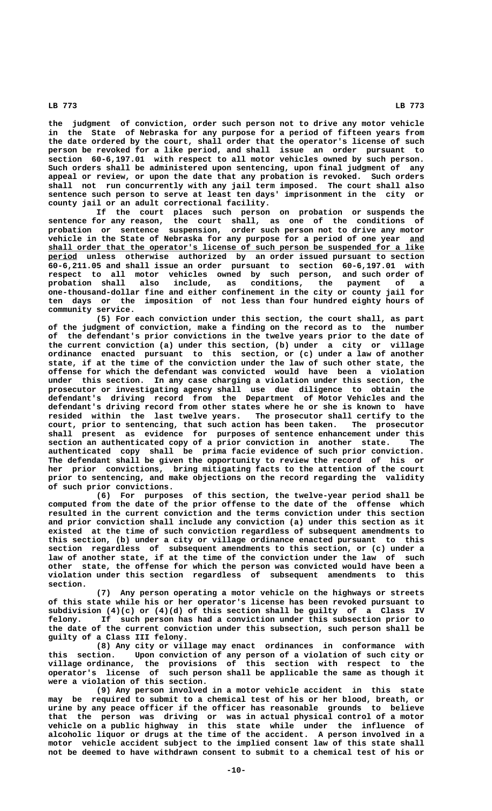**the judgment of conviction, order such person not to drive any motor vehicle in the State of Nebraska for any purpose for a period of fifteen years from the date ordered by the court, shall order that the operator's license of such person be revoked for a like period, and shall issue an order pursuant to**

**section 60-6,197.01 with respect to all motor vehicles owned by such person. Such orders shall be administered upon sentencing, upon final judgment of any appeal or review, or upon the date that any probation is revoked. Such orders shall not run concurrently with any jail term imposed. The court shall also sentence such person to serve at least ten days' imprisonment in the city or county jail or an adult correctional facility.**

**If the court places such person on probation or suspends the sentence for any reason, the court shall, as one of the conditions of probation or sentence suspension, order such person not to drive any motor vehicle in the State of Nebraska for any purpose for a period of one year and \_\_\_ \_\_\_\_\_\_\_\_\_\_\_\_\_\_\_\_\_\_\_\_\_\_\_\_\_\_\_\_\_\_\_\_\_\_\_\_\_\_\_\_\_\_\_\_\_\_\_\_\_\_\_\_\_\_\_\_\_\_\_\_\_\_\_\_\_\_\_\_\_\_\_\_\_\_\_\_\_\_ shall order that the operator's license of such person be suspended for a like \_\_\_\_\_\_ period unless otherwise authorized by an order issued pursuant to section 60-6,211.05 and shall issue an order pursuant to section 60-6,197.01 with respect to all motor vehicles owned by such person, and such order of probation shall also include, as conditions, the payment of a one-thousand-dollar fine and either confinement in the city or county jail for ten days or the imposition of not less than four hundred eighty hours of community service.**

**(5) For each conviction under this section, the court shall, as part of the judgment of conviction, make a finding on the record as to the number of the defendant's prior convictions in the twelve years prior to the date of the current conviction (a) under this section, (b) under a city or village ordinance enacted pursuant to this section, or (c) under a law of another state, if at the time of the conviction under the law of such other state, the offense for which the defendant was convicted would have been a violation under this section. In any case charging a violation under this section, the prosecutor or investigating agency shall use due diligence to obtain the defendant's driving record from the Department of Motor Vehicles and the defendant's driving record from other states where he or she is known to have resided within the last twelve years. The prosecutor shall certify to the court, prior to sentencing, that such action has been taken. The prosecutor shall present as evidence for purposes of sentence enhancement under this section an authenticated copy of a prior conviction in another state. The authenticated copy shall be prima facie evidence of such prior conviction. The defendant shall be given the opportunity to review the record of his or her prior convictions, bring mitigating facts to the attention of the court prior to sentencing, and make objections on the record regarding the validity of such prior convictions.**

**(6) For purposes of this section, the twelve-year period shall be computed from the date of the prior offense to the date of the offense which resulted in the current conviction and the terms conviction under this section and prior conviction shall include any conviction (a) under this section as it existed at the time of such conviction regardless of subsequent amendments to this section, (b) under a city or village ordinance enacted pursuant to this section regardless of subsequent amendments to this section, or (c) under a law of another state, if at the time of the conviction under the law of such other state, the offense for which the person was convicted would have been a violation under this section regardless of subsequent amendments to this section.**

**(7) Any person operating a motor vehicle on the highways or streets of this state while his or her operator's license has been revoked pursuant to subdivision (4)(c) or (4)(d) of this section shall be guilty of a Class IV felony. If such person has had a conviction under this subsection prior to the date of the current conviction under this subsection, such person shall be guilty of a Class III felony.**

**(8) Any city or village may enact ordinances in conformance with this section. Upon conviction of any person of a violation of such city or village ordinance, the provisions of this section with respect to the operator's license of such person shall be applicable the same as though it were a violation of this section.**

**(9) Any person involved in a motor vehicle accident in this state may be required to submit to a chemical test of his or her blood, breath, or urine by any peace officer if the officer has reasonable grounds to believe that the person was driving or was in actual physical control of a motor vehicle on a public highway in this state while under the influence of alcoholic liquor or drugs at the time of the accident. A person involved in a motor vehicle accident subject to the implied consent law of this state shall not be deemed to have withdrawn consent to submit to a chemical test of his or**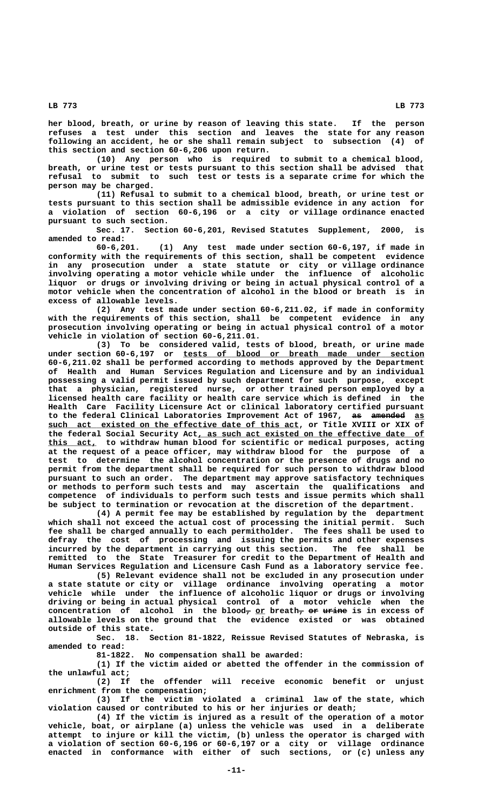**her blood, breath, or urine by reason of leaving this state. If the person refuses a test under this section and leaves the state for any reason following an accident, he or she shall remain subject to subsection (4) of this section and section 60-6,206 upon return.**

**(10) Any person who is required to submit to a chemical blood, breath, or urine test or tests pursuant to this section shall be advised that refusal to submit to such test or tests is a separate crime for which the person may be charged.**

**(11) Refusal to submit to a chemical blood, breath, or urine test or tests pursuant to this section shall be admissible evidence in any action for a violation of section 60-6,196 or a city or village ordinance enacted pursuant to such section.**

**Sec. 17. Section 60-6,201, Revised Statutes Supplement, 2000, is amended to read:**

**60-6,201. (1) Any test made under section 60-6,197, if made in conformity with the requirements of this section, shall be competent evidence in any prosecution under a state statute or city or village ordinance involving operating a motor vehicle while under the influence of alcoholic liquor or drugs or involving driving or being in actual physical control of a motor vehicle when the concentration of alcohol in the blood or breath is in excess of allowable levels.**

**(2) Any test made under section 60-6,211.02, if made in conformity with the requirements of this section, shall be competent evidence in any prosecution involving operating or being in actual physical control of a motor vehicle in violation of section 60-6,211.01.**

**(3) To be considered valid, tests of blood, breath, or urine made** under section 60-6,197 or tests of blood or breath made under section **60-6,211.02 shall be performed according to methods approved by the Department of Health and Human Services Regulation and Licensure and by an individual possessing a valid permit issued by such department for such purpose, except that a physician, registered nurse, or other trained person employed by a licensed health care facility or health care service which is defined in the Health Care Facility Licensure Act or clinical laboratory certified pursuant** to the federal Clinical Laboratories Improvement Act of 1967, as amended as  **\_\_\_\_\_\_\_\_\_\_\_\_\_\_\_\_\_\_\_\_\_\_\_\_\_\_\_\_\_\_\_\_\_\_\_\_\_\_\_\_\_\_\_\_\_\_\_\_\_\_\_\_ such act existed on the effective date of this act, or Title XVIII or XIX of** the federal Social Security Act, as such act existed on the effective date of  **\_\_\_\_\_\_\_\_\_\_ this act, to withdraw human blood for scientific or medical purposes, acting at the request of a peace officer, may withdraw blood for the purpose of a test to determine the alcohol concentration or the presence of drugs and no permit from the department shall be required for such person to withdraw blood pursuant to such an order. The department may approve satisfactory techniques or methods to perform such tests and may ascertain the qualifications and competence of individuals to perform such tests and issue permits which shall be subject to termination or revocation at the discretion of the department.**

**(4) A permit fee may be established by regulation by the department which shall not exceed the actual cost of processing the initial permit. Such fee shall be charged annually to each permitholder. The fees shall be used to defray the cost of processing and issuing the permits and other expenses incurred by the department in carrying out this section. The fee shall be remitted to the State Treasurer for credit to the Department of Health and Human Services Regulation and Licensure Cash Fund as a laboratory service fee.**

**(5) Relevant evidence shall not be excluded in any prosecution under a state statute or city or village ordinance involving operating a motor vehicle while under the influence of alcoholic liquor or drugs or involving driving or being in actual physical control of a motor vehicle when the** <code>concentration of alcohol in the blood, <u>or</u> breath,  $e$  ar  $u$   $r$  in excess of</code> **allowable levels on the ground that the evidence existed or was obtained outside of this state.**

**Sec. 18. Section 81-1822, Reissue Revised Statutes of Nebraska, is amended to read:**

**81-1822. No compensation shall be awarded:**

**(1) If the victim aided or abetted the offender in the commission of the unlawful act;**

**(2) If the offender will receive economic benefit or unjust enrichment from the compensation;**

**(3) If the victim violated a criminal law of the state, which violation caused or contributed to his or her injuries or death;**

**(4) If the victim is injured as a result of the operation of a motor vehicle, boat, or airplane (a) unless the vehicle was used in a deliberate attempt to injure or kill the victim, (b) unless the operator is charged with a violation of section 60-6,196 or 60-6,197 or a city or village ordinance enacted in conformance with either of such sections, or (c) unless any**